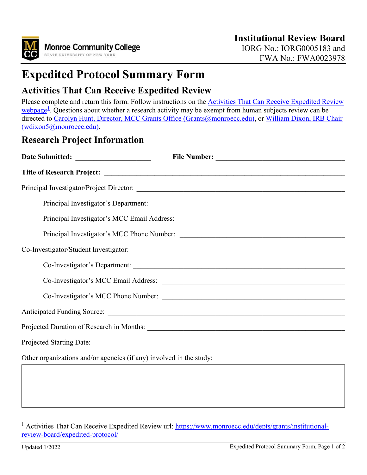

# **Expedited Protocol Summary Form**

## **Activities That Can Receive Expedited Review**

Please complete and return this form. Follow instructions on the **Activities That Can Receive Expedited Review** [webpage](https://www.monroecc.edu/depts/grants/institutional-review-board/expedited-protocol/)<sup>[1](#page-0-0)</sup>. Questions about whether a research activity may be exempt from human subjects review can be directed to [Carolyn Hunt, Director, MCC Grants Office \(Grants@monroecc.edu\),](mailto:Grants@monroecc.edu) or William Dixon, IRB Chair [\(wdixon5@monroecc.edu\).](mailto:wdixon5@monroecc.edu)

#### **Research Project Information**

|                                                                     | Co-Investigator's Department: |
|---------------------------------------------------------------------|-------------------------------|
|                                                                     |                               |
|                                                                     |                               |
|                                                                     |                               |
|                                                                     |                               |
|                                                                     |                               |
| Other organizations and/or agencies (if any) involved in the study: |                               |

<span id="page-0-0"></span><sup>&</sup>lt;sup>1</sup> Activities That Can Receive Expedited Review url: [https://www.monroecc.edu/depts/grants/institutional](https://www.monroecc.edu/depts/grants/institutional-review-board/expedited-protocol/)[review-board/expedited-protocol/](https://www.monroecc.edu/depts/grants/institutional-review-board/expedited-protocol/)